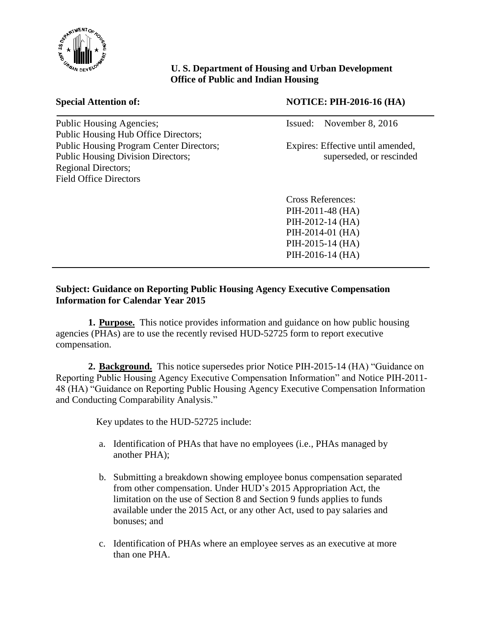

## **U. S. Department of Housing and Urban Development Office of Public and Indian Housing**

| <b>Public Housing Agencies;</b>                 |
|-------------------------------------------------|
| <b>Public Housing Hub Office Directors;</b>     |
| <b>Public Housing Program Center Directors;</b> |
| <b>Public Housing Division Directors;</b>       |
| <b>Regional Directors;</b>                      |
| <b>Field Office Directors</b>                   |
|                                                 |

## **Special Attention of: NOTICE: PIH-2016-16 (HA)**

Issued: November 8, 2016

Expires: Effective until amended, superseded, or rescinded

Cross References: PIH-2011-48 (HA) PIH-2012-14 (HA) PIH-2014-01 (HA) PIH-2015-14 (HA) PIH-2016-14 (HA)

## **Subject: Guidance on Reporting Public Housing Agency Executive Compensation Information for Calendar Year 2015**

**1. Purpose.** This notice provides information and guidance on how public housing agencies (PHAs) are to use the recently revised HUD-52725 form to report executive compensation.

**2. Background.** This notice supersedes prior Notice PIH-2015-14 (HA) "Guidance on Reporting Public Housing Agency Executive Compensation Information" and Notice PIH-2011- 48 (HA) "Guidance on Reporting Public Housing Agency Executive Compensation Information and Conducting Comparability Analysis."

Key updates to the HUD-52725 include:

- a. Identification of PHAs that have no employees (i.e., PHAs managed by another PHA);
- b. Submitting a breakdown showing employee bonus compensation separated from other compensation. Under HUD's 2015 Appropriation Act, the limitation on the use of Section 8 and Section 9 funds applies to funds available under the 2015 Act, or any other Act, used to pay salaries and bonuses; and
- c. Identification of PHAs where an employee serves as an executive at more than one PHA.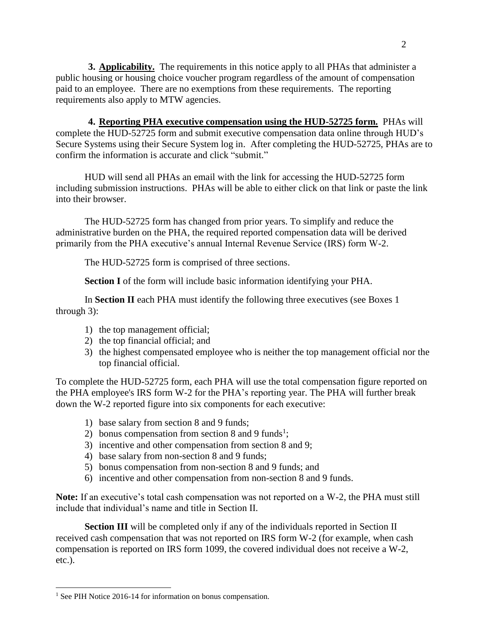**3. Applicability.** The requirements in this notice apply to all PHAs that administer a public housing or housing choice voucher program regardless of the amount of compensation paid to an employee. There are no exemptions from these requirements. The reporting requirements also apply to MTW agencies.

**4. Reporting PHA executive compensation using the HUD-52725 form.** PHAs will complete the HUD-52725 form and submit executive compensation data online through HUD's Secure Systems using their Secure System log in. After completing the HUD-52725, PHAs are to confirm the information is accurate and click "submit."

HUD will send all PHAs an email with the link for accessing the HUD-52725 form including submission instructions. PHAs will be able to either click on that link or paste the link into their browser.

The HUD-52725 form has changed from prior years. To simplify and reduce the administrative burden on the PHA, the required reported compensation data will be derived primarily from the PHA executive's annual Internal Revenue Service (IRS) form W-2.

The HUD-52725 form is comprised of three sections.

**Section I** of the form will include basic information identifying your PHA.

In **Section II** each PHA must identify the following three executives (see Boxes 1 through 3):

- 1) the top management official;
- 2) the top financial official; and
- 3) the highest compensated employee who is neither the top management official nor the top financial official.

To complete the HUD-52725 form, each PHA will use the total compensation figure reported on the PHA employee's IRS form W-2 for the PHA's reporting year. The PHA will further break down the W-2 reported figure into six components for each executive:

- 1) base salary from section 8 and 9 funds;
- 2) bonus compensation from section 8 and 9 funds<sup>1</sup>;
- 3) incentive and other compensation from section 8 and 9;
- 4) base salary from non-section 8 and 9 funds;
- 5) bonus compensation from non-section 8 and 9 funds; and
- 6) incentive and other compensation from non-section 8 and 9 funds.

**Note:** If an executive's total cash compensation was not reported on a W-2, the PHA must still include that individual's name and title in Section II.

**Section III** will be completed only if any of the individuals reported in Section II received cash compensation that was not reported on IRS form W-2 (for example, when cash compensation is reported on IRS form 1099, the covered individual does not receive a W-2, etc.).

1

<sup>2</sup>

<sup>&</sup>lt;sup>1</sup> See PIH Notice 2016-14 for information on bonus compensation.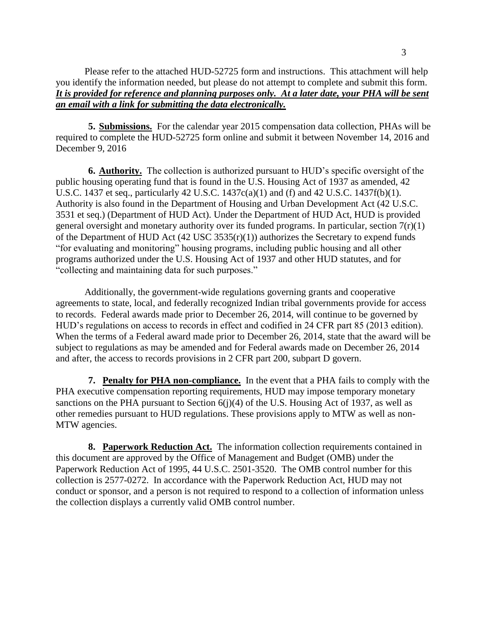**5. Submissions.** For the calendar year 2015 compensation data collection, PHAs will be required to complete the HUD-52725 form online and submit it between November 14, 2016 and December 9, 2016

**6. Authority.** The collection is authorized pursuant to HUD's specific oversight of the public housing operating fund that is found in the U.S. Housing Act of 1937 as amended, 42 U.S.C. 1437 et seq., particularly 42 U.S.C. 1437c(a)(1) and (f) and 42 U.S.C. 1437f(b)(1). Authority is also found in the Department of Housing and Urban Development Act (42 U.S.C. 3531 et seq.) (Department of HUD Act). Under the Department of HUD Act, HUD is provided general oversight and monetary authority over its funded programs. In particular, section  $7(r)(1)$ of the Department of HUD Act  $(42 \text{ USC } 3535(\text{r})(1))$  authorizes the Secretary to expend funds "for evaluating and monitoring" housing programs, including public housing and all other programs authorized under the U.S. Housing Act of 1937 and other HUD statutes, and for "collecting and maintaining data for such purposes."

Additionally, the government-wide regulations governing grants and cooperative agreements to state, local, and federally recognized Indian tribal governments provide for access to records. Federal awards made prior to December 26, 2014, will continue to be governed by HUD's regulations on access to records in effect and codified in 24 CFR part 85 (2013 edition). When the terms of a Federal award made prior to December 26, 2014, state that the award will be subject to regulations as may be amended and for Federal awards made on December 26, 2014 and after, the access to records provisions in 2 CFR part 200, subpart D govern.

**7. Penalty for PHA non-compliance.** In the event that a PHA fails to comply with the PHA executive compensation reporting requirements, HUD may impose temporary monetary sanctions on the PHA pursuant to Section  $6(j)(4)$  of the U.S. Housing Act of 1937, as well as other remedies pursuant to HUD regulations. These provisions apply to MTW as well as non-MTW agencies.

**8. Paperwork Reduction Act.** The information collection requirements contained in this document are approved by the Office of Management and Budget (OMB) under the Paperwork Reduction Act of 1995, 44 U.S.C. 2501-3520. The OMB control number for this collection is 2577-0272. In accordance with the Paperwork Reduction Act, HUD may not conduct or sponsor, and a person is not required to respond to a collection of information unless the collection displays a currently valid OMB control number.